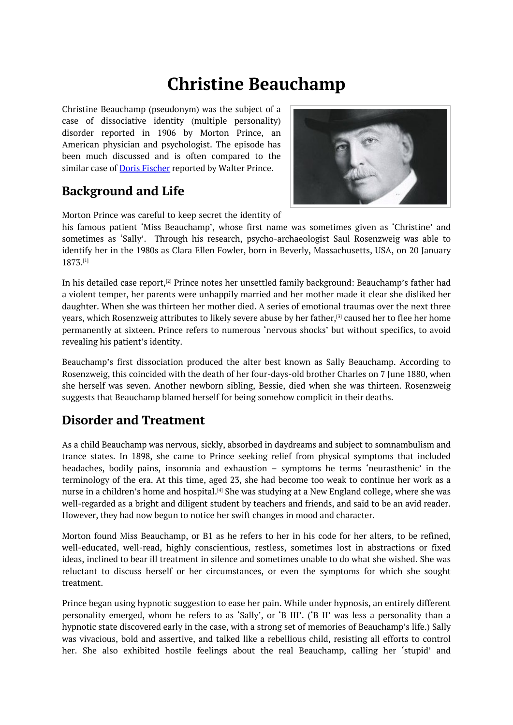# **Christine Beauchamp**

<span id="page-0-0"></span>Christine Beauchamp (pseudonym) was the subject of a case of dissociative identity (multiple personality) disorder reported in 1906 by Morton Prince, an American physician and psychologist. The episode has been much discussed and is often compared to the similar case of **Doris Fischer** reported by Walter Prince.

## **Background and Life**



Morton Prince was careful to keep secret the identity of

his famous patient 'Miss Beauchamp', whose first name was sometimes given as 'Christine' and sometimes as 'Sally'. Through his research, psycho-archaeologist Saul Rosenzweig was able to identify her in the 1980s as Clara Ellen Fowler, born in Beverly, Massachusetts, USA, on 20 January 1873. [1]

In his detailed case report,<sup>[2]</sup> Prince notes her unsettled family background: Beauchamp's father had a violent temper, her parents were unhappily married and her mother made it clear she disliked her daug[ht](#page-0-0)er. When she was thirteen her mother died. A series of emotional traumas over the next three years, which Rosenzweig a[ttr](#page-0-0)ibutes to likely severe abuse by her father,<sup>[3]</sup> caused her to flee her home permanently at sixteen. Prince refers to numerous 'nervous shocks' but without specifics, to avoid revealing his patient's identity.

Beauchamp's first dissociation produced the alter best known as Sa[lly](#page-0-0) Beauchamp. According to Rosenzweig, this coincided with the death of her four-days-old brother Charles on 7 June 1880, when she herself was seven. Another newborn sibling, Bessie, died when she was thirteen. Rosenzweig suggests that Beauchamp blamed herself for being somehow complicit in their deaths.

# **Disorder and Treatment**

As a child Beauchamp was nervous, sickly, absorbed in daydreams and subject to somnambulism and trance states. In 1898, she came to Prince seeking relief from physical symptoms that included headaches, bodily pains, insomnia and exhaustion – symptoms he terms 'neurasthenic' in the terminology of the era. At this time, aged 23, she had become too weak to continue her work as a nurse in a children's home and hospital.<sup>[4]</sup> She was studying at a New England college, where she was well-regarded as a bright and diligent student by teachers and friends, and said to be an avid reader. However, they had now begun to notice her swift changes in mood and character.

Morton found Miss Beauchamp, or B1 [as](#page-0-0) he refers to her in his code for her alters, to be refined, well-educated, well-read, highly conscientious, restless, sometimes lost in abstractions or fixed ideas, inclined to bear ill treatment in silence and sometimes unable to do what she wished. She was reluctant to discuss herself or her circumstances, or even the symptoms for which she sought treatment.

Prince began using hypnotic suggestion to ease her pain. While under hypnosis, an entirely different personality emerged, whom he refers to as 'Sally', or 'B III'. ('B II' was less a personality than a hypnotic state discovered early in the case, with a strong set of memories of Beauchamp's life.) Sally was vivacious, bold and assertive, and talked like a rebellious child, resisting all efforts to control her. She also exhibited hostile feelings about the real Beauchamp, calling her 'stupid' and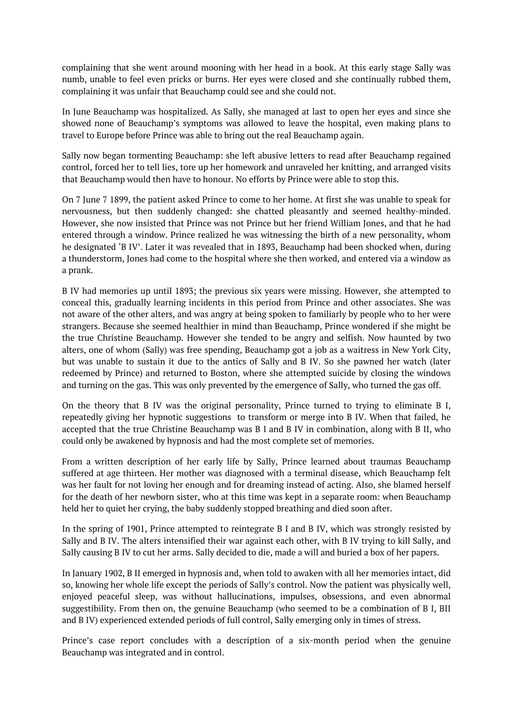complaining that she went around mooning with her head in a book. At this early stage Sally was numb, unable to feel even pricks or burns. Her eyes were closed and she continually rubbed them, complaining it was unfair that Beauchamp could see and she could not.

In June Beauchamp was hospitalized. As Sally, she managed at last to open her eyes and since she showed none of Beauchamp's symptoms was allowed to leave the hospital, even making plans to travel to Europe before Prince was able to bring out the real Beauchamp again.

Sally now began tormenting Beauchamp: she left abusive letters to read after Beauchamp regained control, forced her to tell lies, tore up her homework and unraveled her knitting, and arranged visits that Beauchamp would then have to honour. No efforts by Prince were able to stop this.

On 7 June 7 1899, the patient asked Prince to come to her home. At first she was unable to speak for nervousness, but then suddenly changed: she chatted pleasantly and seemed healthy-minded. However, she now insisted that Prince was not Prince but her friend William Jones, and that he had entered through a window. Prince realized he was witnessing the birth of a new personality, whom he designated 'B IV'. Later it was revealed that in 1893, Beauchamp had been shocked when, during a thunderstorm, Jones had come to the hospital where she then worked, and entered via a window as a prank.

B IV had memories up until 1893; the previous six years were missing. However, she attempted to conceal this, gradually learning incidents in this period from Prince and other associates. She was not aware of the other alters, and was angry at being spoken to familiarly by people who to her were strangers. Because she seemed healthier in mind than Beauchamp, Prince wondered if she might be the true Christine Beauchamp. However she tended to be angry and selfish. Now haunted by two alters, one of whom (Sally) was free spending, Beauchamp got a job as a waitress in New York City, but was unable to sustain it due to the antics of Sally and B IV. So she pawned her watch (later redeemed by Prince) and returned to Boston, where she attempted suicide by closing the windows and turning on the gas. This was only prevented by the emergence of Sally, who turned the gas off.

On the theory that B IV was the original personality, Prince turned to trying to eliminate B I, repeatedly giving her hypnotic suggestions to transform or merge into B IV. When that failed, he accepted that the true Christine Beauchamp was B I and B IV in combination, along with B II, who could only be awakened by hypnosis and had the most complete set of memories.

From a written description of her early life by Sally, Prince learned about traumas Beauchamp suffered at age thirteen. Her mother was diagnosed with a terminal disease, which Beauchamp felt was her fault for not loving her enough and for dreaming instead of acting. Also, she blamed herself for the death of her newborn sister, who at this time was kept in a separate room: when Beauchamp held her to quiet her crying, the baby suddenly stopped breathing and died soon after.

In the spring of 1901, Prince attempted to reintegrate B I and B IV, which was strongly resisted by Sally and B IV. The alters intensified their war against each other, with B IV trying to kill Sally, and Sally causing B IV to cut her arms. Sally decided to die, made a will and buried a box of her papers.

In January 1902, B II emerged in hypnosis and, when told to awaken with all her memories intact, did so, knowing her whole life except the periods of Sally's control. Now the patient was physically well, enjoyed peaceful sleep, was without hallucinations, impulses, obsessions, and even abnormal suggestibility. From then on, the genuine Beauchamp (who seemed to be a combination of B I, BII and B IV) experienced extended periods of full control, Sally emerging only in times of stress.

Prince's case report concludes with a description of a six-month period when the genuine Beauchamp was integrated and in control.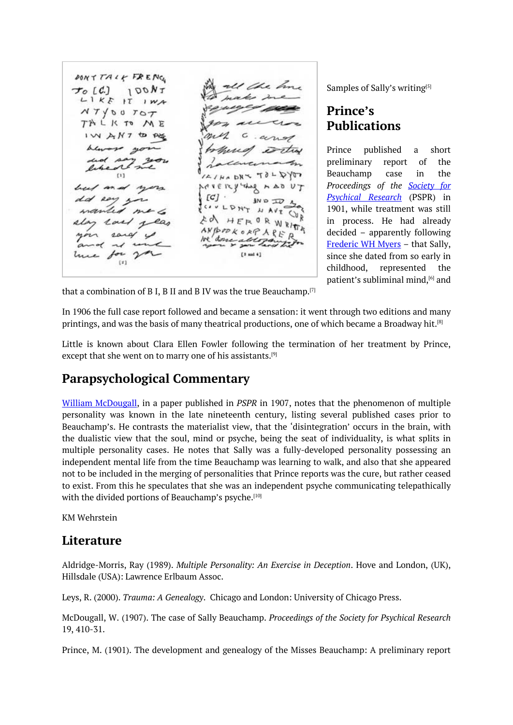DONTTALL FRENC ' the h  $100NT$  $\tau$ <sub>o</sub> [C.]  $L1KF$  IT  $1WA$  $NTY00TOT$ TALK TO ME IWANT to PE  $D R \times T 0 + D \sqrt{QT}$  $[1]$  $VT$ July NUERY  $AAD$  $1$  and  $1$  $[C]$  $JN D \nabla$ CONT HAVE CUR とめ HERORW s ANBROKORP  $\{x\}$ 

Samples of Sally's writing<sup>[5]</sup>

### **Prince's Publications**

Prince published a short preliminary report of the Beauchamp case in the *Proceedings of the Society for Psychical Research* (PSPR) in 1901, while treatment was still in process. He had already decided – apparently following Frederic WH Myers – that Sally, since she dated from so early in childhood, represented the patient's subliminal mind, [6] and

that a combination of B I, B II and B IV was the true Beauchamp. $^{[7]}$ 

In 1906 the full case report followed and became a sensation: it went through two editions and many printings, and was the basis of many theatrical productions, one of which became a Broadway h[it](#page-0-0).<sup>[8]</sup>

Little is known about Clara Ellen Fowler following the termination of her treatment by Prince, except that she went on to marry one of his assistants.<sup>[9]</sup>

#### **Parapsychological Commentary**

William McDougall, in a paper published in *PSPR* in [19](#page-0-0)07, notes that the phenomenon of multiple personality was known in the late nineteenth century, listing several published cases prior to Beauchamp's. He contrasts the materialist view, that the 'disintegration' occurs in the brain, with the dualistic view that the soul, mind or psyche, being the seat of individuality, is what splits in multiple personality cases. He notes that Sally was a fully-developed personality possessing an independent mental life from the time Beauchamp was learning to walk, and also that she appeared not to be included in the merging of personalities that Prince reports was the cure, but rather ceased to exist. From this he speculates that she was an independent psyche communicating telepathically with the divided portions of Beauchamp's psyche. [10]

KM Wehrstein

#### **Literature**

Aldridge-Morris, Ray (1989). *Multiple Personality: An Exercise in Deception*. Hove and London, (UK), Hillsdale (USA): Lawrence Erlbaum Assoc.

Leys, R. (2000). *Trauma: A Genealogy*. Chicago and London: University of Chicago Press.

McDougall, W. (1907). The case of Sally Beauchamp. *Proceedings of the Society for Psychical Research* 19, 410-31.

Prince, M. (1901). The development and genealogy of the Misses Beauchamp: A preliminary report